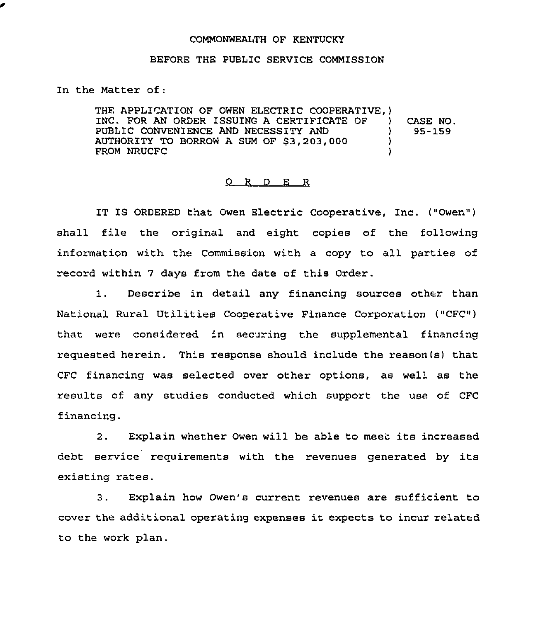## COMMONWEALTH OF KENTUCKY

## BEFORE THE PUBLIC SERVICE COMMISSION

In the Matter of:

THE APPLICATION OF OWEN ELECTRIC COOPERATIVE, )<br>INC. FOR AN ORDER ISSUING A CERTIFICATE OF INC. FOR AN ORDER ISSUING A CERTIFICATE OF ) PUBLIC CONVENIENCE AND NECESSITY AND<br>AUTHORITY TO BORROW A SUM OF \$3.203.000  $\rightarrow$ AUTHORITY TO BORROW A SUM OF \$3,203,000  $\qquad\qquad$  ) FROM NRUCFC ) CASE NO. 95-159

## 0 <sup>R</sup> <sup>D</sup> E R

IT IS ORDERED that Owen Electric Cooperative, Inc. ("Owen" ) shall file the original and eight copies of the following information with the Commission with a copy to all parties of record within 7 days from the date of this Order.

1. Describe in detail any financing sources other than National Rural Utilities Cooperative Finance Corporation ("CFC") that were considered in securing the supplemental financing requested herein. This response should include the reason(s) that CFC financing was selected over other options, as well as the results of any studies conducted which support the use of CFC financing.

2. Explain whether Owen will be able to meet its increased debt service requirements with the revenues generated by its existing rates.

3. Explain how Owen's current revenues are sufficient to cover the additional operating expenses it expects to incur related to the work plan.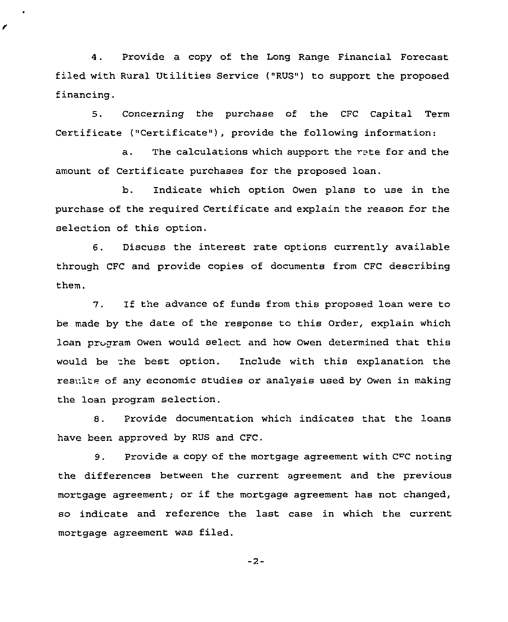4. Provide a copy of the Long Range Financial Forecast filed with Rural Utilities Service ("RUS") to support the proposed financing.

5. Concerning the purchase of the CFC Capital Term Certificate ("Certificate"), provide the following information:

a. The calculations which support the rate for and the amount of Certificate purchases for the proposed loan.

b. Indicate which option Owen plans to use in the purchase of the required Certificate and explain the reason for the selection of this option,

6. Discuss the interest rate options currently available through CFC and provide copies of documents from CFC describing them.

7. If the advance of funds from this proposed loan were to be made by the date of the response to this order, explain which loan program Owen would select and how Owen determined that this would be the best option. Include with this explanation the results of any economic studies or analysis used by Owen in making the loan program selection.

8. Provide documentation which indicates that the loans have been approved by RUS and CFC.

9. Provide a copy of the mortgage agreement with CFC noting the differences between the current agreement and the previous mortgage agreement; or if the mortgage agreement has not changed, so indicate and reference the last case in which the current mortgage agreement was filed.

 $-2-$